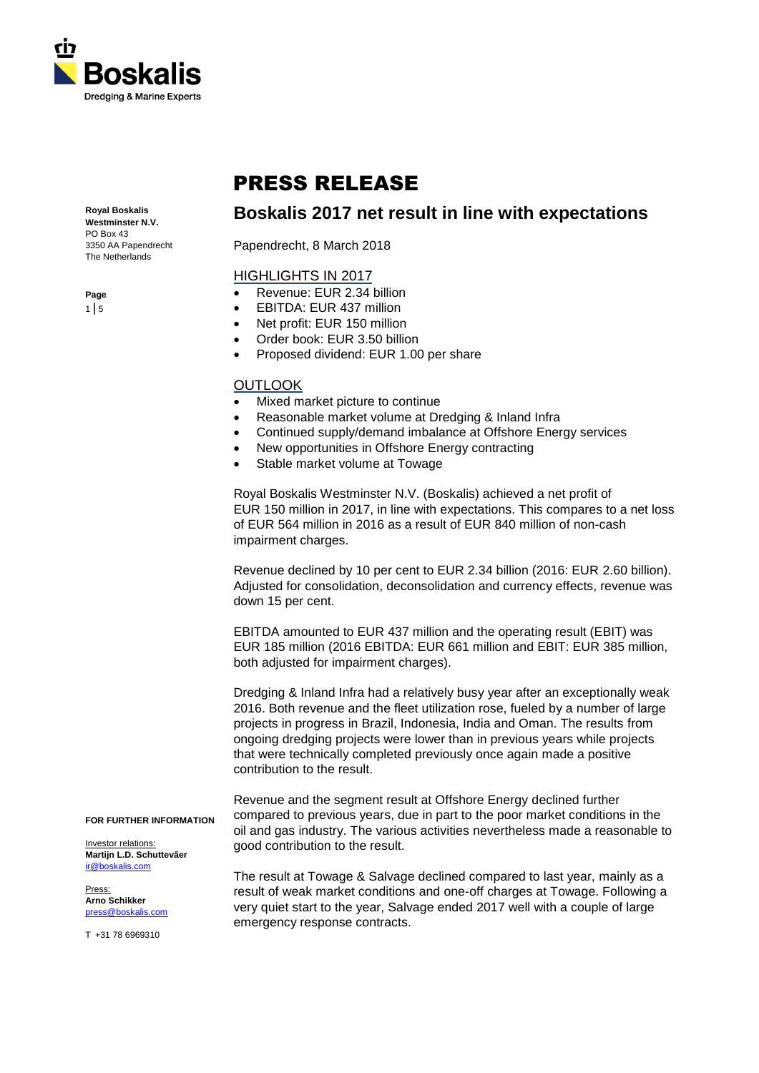

# PRESS RELEASE

**Royal Boskalis Westminster N.V.**

PO Box 43 3350 AA Papendrecht The Netherlands

Papendrecht, 8 March 2018

# HIGHLIGHTS IN 2017

- Revenue: EUR 2.34 billion
- EBITDA: EUR 437 million
- Net profit: EUR 150 million
- Order book: EUR 3.50 billion
- Proposed dividend: EUR 1.00 per share

# **OUTLOOK**

- Mixed market picture to continue
- Reasonable market volume at Dredging & Inland Infra
- Continued supply/demand imbalance at Offshore Energy services

**Boskalis 2017 net result in line with expectations**

- New opportunities in Offshore Energy contracting
- Stable market volume at Towage

Royal Boskalis Westminster N.V. (Boskalis) achieved a net profit of EUR 150 million in 2017, in line with expectations. This compares to a net loss of EUR 564 million in 2016 as a result of EUR 840 million of non-cash impairment charges.

Revenue declined by 10 per cent to EUR 2.34 billion (2016: EUR 2.60 billion). Adjusted for consolidation, deconsolidation and currency effects, revenue was down 15 per cent.

EBITDA amounted to EUR 437 million and the operating result (EBIT) was EUR 185 million (2016 EBITDA: EUR 661 million and EBIT: EUR 385 million, both adjusted for impairment charges).

Dredging & Inland Infra had a relatively busy year after an exceptionally weak 2016. Both revenue and the fleet utilization rose, fueled by a number of large projects in progress in Brazil, Indonesia, India and Oman. The results from ongoing dredging projects were lower than in previous years while projects that were technically completed previously once again made a positive contribution to the result.

Revenue and the segment result at Offshore Energy declined further compared to previous years, due in part to the poor market conditions in the oil and gas industry. The various activities nevertheless made a reasonable to good contribution to the result.

The result at Towage & Salvage declined compared to last year, mainly as a result of weak market conditions and one-off charges at Towage. Following a very quiet start to the year, Salvage ended 2017 well with a couple of large emergency response contracts.

#### **FOR FURTHER INFORMATION**

Investor relations: **Martijn L.D. Schuttevâer** [ir@boskalis.com](mailto:ir@boskalis.com)

Press: **Arno Schikker** [press@boskalis.com](mailto:press@boskalis.com)

T +31 78 6969310

**Page**  $1 \mid 5$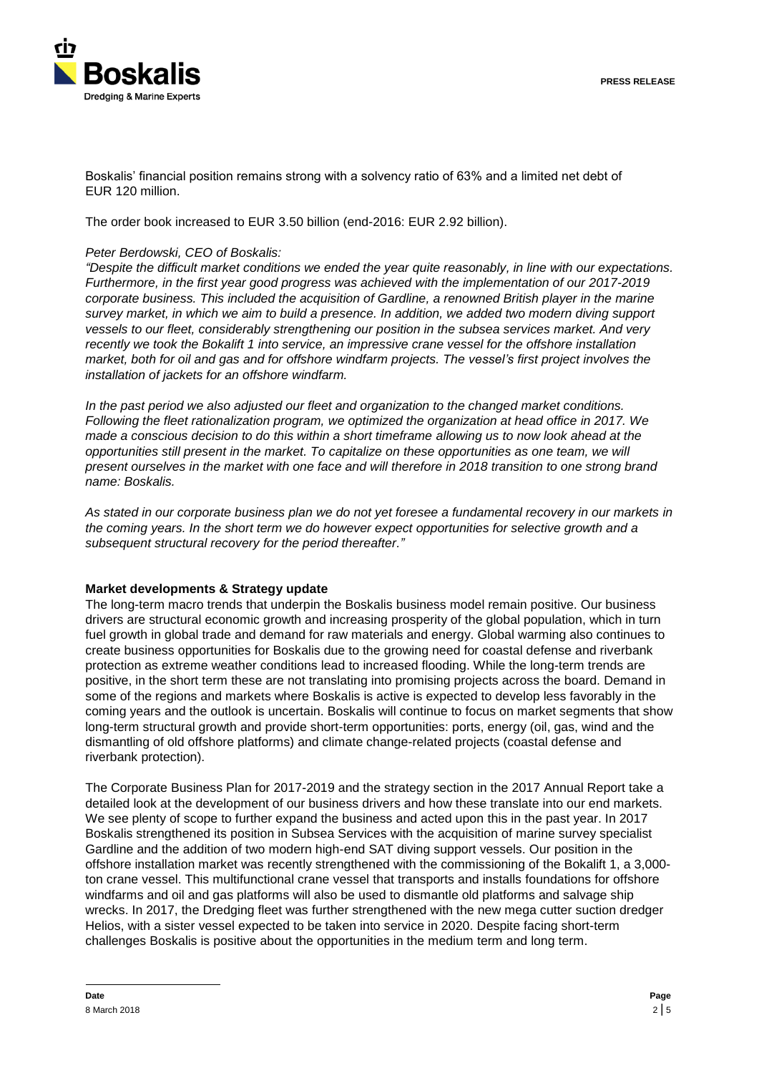

Boskalis' financial position remains strong with a solvency ratio of 63% and a limited net debt of EUR 120 million.

The order book increased to EUR 3.50 billion (end-2016: EUR 2.92 billion).

## *Peter Berdowski, CEO of Boskalis:*

*"Despite the difficult market conditions we ended the year quite reasonably, in line with our expectations. Furthermore, in the first year good progress was achieved with the implementation of our 2017-2019 corporate business. This included the acquisition of Gardline, a renowned British player in the marine survey market, in which we aim to build a presence. In addition, we added two modern diving support vessels to our fleet, considerably strengthening our position in the subsea services market. And very recently we took the Bokalift 1 into service, an impressive crane vessel for the offshore installation market, both for oil and gas and for offshore windfarm projects. The vessel's first project involves the installation of jackets for an offshore windfarm.*

*In the past period we also adjusted our fleet and organization to the changed market conditions. Following the fleet rationalization program, we optimized the organization at head office in 2017. We made a conscious decision to do this within a short timeframe allowing us to now look ahead at the opportunities still present in the market. To capitalize on these opportunities as one team, we will present ourselves in the market with one face and will therefore in 2018 transition to one strong brand name: Boskalis.*

*As stated in our corporate business plan we do not yet foresee a fundamental recovery in our markets in the coming years. In the short term we do however expect opportunities for selective growth and a subsequent structural recovery for the period thereafter."*

## **Market developments & Strategy update**

The long-term macro trends that underpin the Boskalis business model remain positive. Our business drivers are structural economic growth and increasing prosperity of the global population, which in turn fuel growth in global trade and demand for raw materials and energy. Global warming also continues to create business opportunities for Boskalis due to the growing need for coastal defense and riverbank protection as extreme weather conditions lead to increased flooding. While the long-term trends are positive, in the short term these are not translating into promising projects across the board. Demand in some of the regions and markets where Boskalis is active is expected to develop less favorably in the coming years and the outlook is uncertain. Boskalis will continue to focus on market segments that show long-term structural growth and provide short-term opportunities: ports, energy (oil, gas, wind and the dismantling of old offshore platforms) and climate change-related projects (coastal defense and riverbank protection).

The Corporate Business Plan for 2017-2019 and the strategy section in the 2017 Annual Report take a detailed look at the development of our business drivers and how these translate into our end markets. We see plenty of scope to further expand the business and acted upon this in the past year. In 2017 Boskalis strengthened its position in Subsea Services with the acquisition of marine survey specialist Gardline and the addition of two modern high-end SAT diving support vessels. Our position in the offshore installation market was recently strengthened with the commissioning of the Bokalift 1, a 3,000 ton crane vessel. This multifunctional crane vessel that transports and installs foundations for offshore windfarms and oil and gas platforms will also be used to dismantle old platforms and salvage ship wrecks. In 2017, the Dredging fleet was further strengthened with the new mega cutter suction dredger Helios, with a sister vessel expected to be taken into service in 2020. Despite facing short-term challenges Boskalis is positive about the opportunities in the medium term and long term.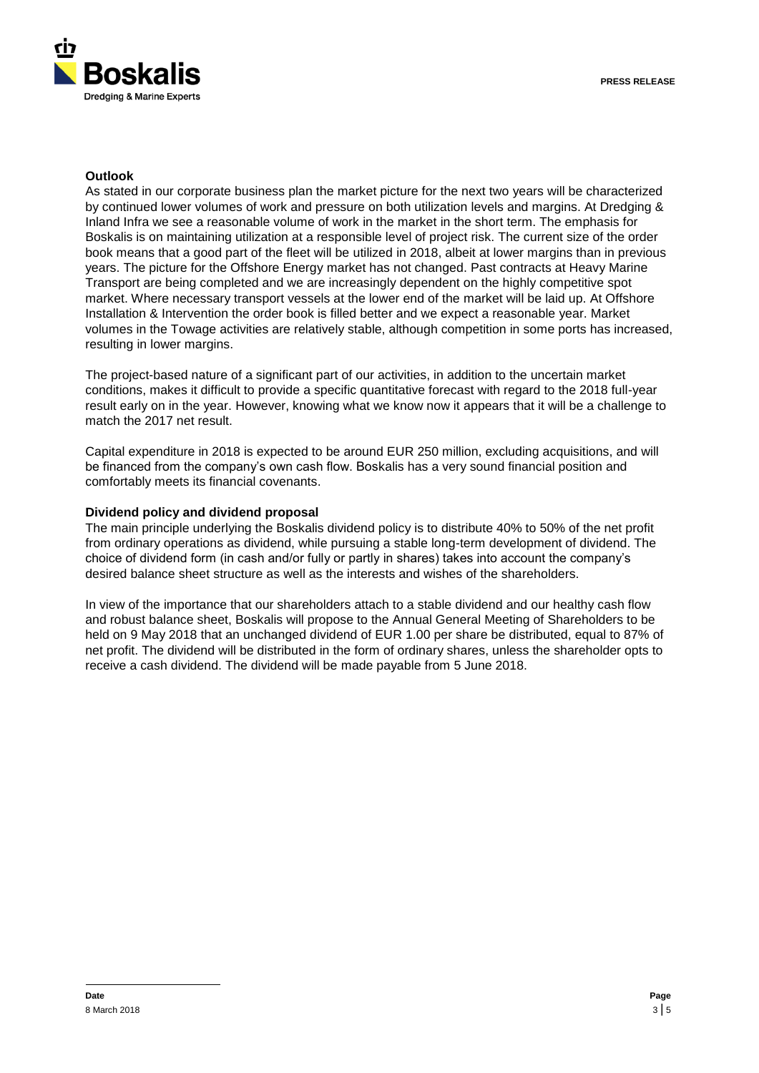

## **Outlook**

As stated in our corporate business plan the market picture for the next two years will be characterized by continued lower volumes of work and pressure on both utilization levels and margins. At Dredging & Inland Infra we see a reasonable volume of work in the market in the short term. The emphasis for Boskalis is on maintaining utilization at a responsible level of project risk. The current size of the order book means that a good part of the fleet will be utilized in 2018, albeit at lower margins than in previous years. The picture for the Offshore Energy market has not changed. Past contracts at Heavy Marine Transport are being completed and we are increasingly dependent on the highly competitive spot market. Where necessary transport vessels at the lower end of the market will be laid up. At Offshore Installation & Intervention the order book is filled better and we expect a reasonable year. Market volumes in the Towage activities are relatively stable, although competition in some ports has increased, resulting in lower margins.

The project-based nature of a significant part of our activities, in addition to the uncertain market conditions, makes it difficult to provide a specific quantitative forecast with regard to the 2018 full-year result early on in the year. However, knowing what we know now it appears that it will be a challenge to match the 2017 net result.

Capital expenditure in 2018 is expected to be around EUR 250 million, excluding acquisitions, and will be financed from the company's own cash flow. Boskalis has a very sound financial position and comfortably meets its financial covenants.

## **Dividend policy and dividend proposal**

The main principle underlying the Boskalis dividend policy is to distribute 40% to 50% of the net profit from ordinary operations as dividend, while pursuing a stable long-term development of dividend. The choice of dividend form (in cash and/or fully or partly in shares) takes into account the company's desired balance sheet structure as well as the interests and wishes of the shareholders.

In view of the importance that our shareholders attach to a stable dividend and our healthy cash flow and robust balance sheet, Boskalis will propose to the Annual General Meeting of Shareholders to be held on 9 May 2018 that an unchanged dividend of EUR 1.00 per share be distributed, equal to 87% of net profit. The dividend will be distributed in the form of ordinary shares, unless the shareholder opts to receive a cash dividend. The dividend will be made payable from 5 June 2018.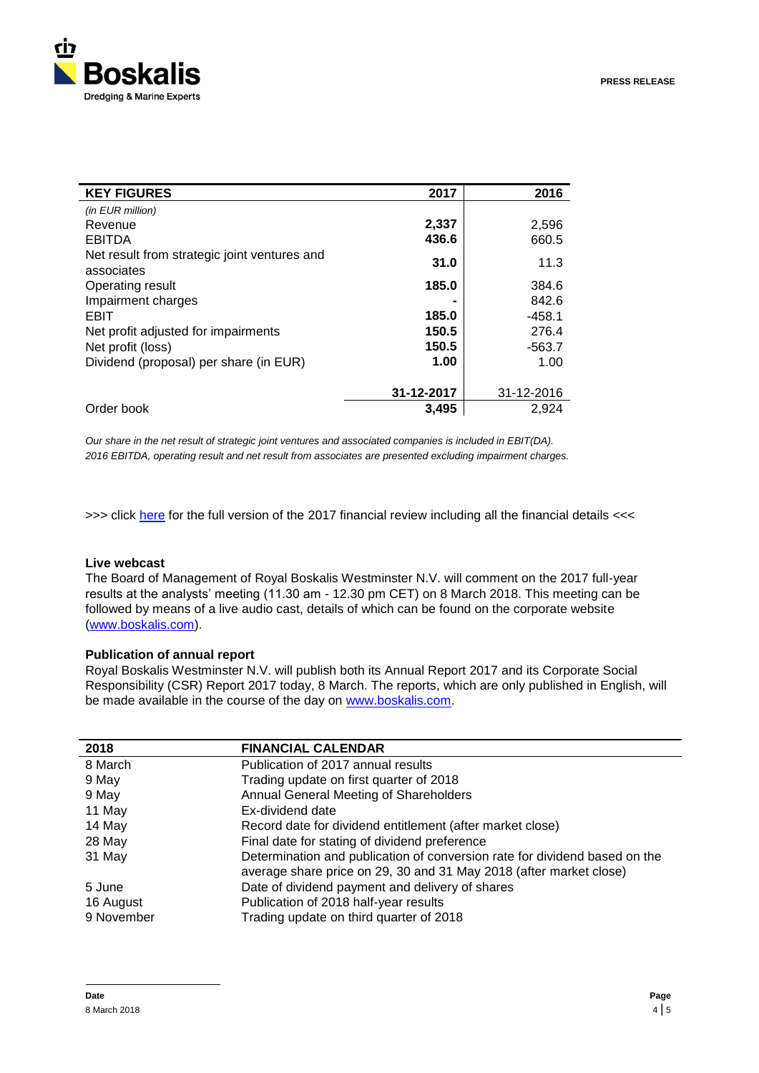

| <b>KEY FIGURES</b>                                         | 2017       | 2016       |
|------------------------------------------------------------|------------|------------|
| (in EUR million)                                           |            |            |
| Revenue                                                    | 2,337      | 2,596      |
| <b>EBITDA</b>                                              | 436.6      | 660.5      |
| Net result from strategic joint ventures and<br>associates | 31.0       | 11.3       |
| Operating result                                           | 185.0      | 384.6      |
| Impairment charges                                         |            | 842.6      |
| EBIT                                                       | 185.0      | $-458.1$   |
| Net profit adjusted for impairments                        | 150.5      | 276.4      |
| Net profit (loss)                                          | 150.5      | $-563.7$   |
| Dividend (proposal) per share (in EUR)                     | 1.00       | 1.00       |
|                                                            | 31-12-2017 | 31-12-2016 |
| Order book                                                 | 3,495      | 2,924      |

*Our share in the net result of strategic joint ventures and associated companies is included in EBIT(DA). 2016 EBITDA, operating result and net result from associates are presented excluding impairment charges.*

>>> click [here](http://hugin.info/130721/R/2174496/838513.pdf) for the full version of the 2017 financial review including all the financial details <<<

## **Live webcast**

The Board of Management of Royal Boskalis Westminster N.V. will comment on the 2017 full-year results at the analysts' meeting (11.30 am - 12.30 pm CET) on 8 March 2018. This meeting can be followed by means of a live audio cast, details of which can be found on the corporate website [\(www.boskalis.com\)](http://www.boskalis.com/).

#### **Publication of annual report**

Royal Boskalis Westminster N.V. will publish both its Annual Report 2017 and its Corporate Social Responsibility (CSR) Report 2017 today, 8 March. The reports, which are only published in English, will be made available in the course of the day on [www.boskalis.com.](http://www.boskalis.com/)

| 2018       | <b>FINANCIAL CALENDAR</b>                                                                                                                        |
|------------|--------------------------------------------------------------------------------------------------------------------------------------------------|
| 8 March    | Publication of 2017 annual results                                                                                                               |
| 9 May      | Trading update on first quarter of 2018                                                                                                          |
| 9 May      | Annual General Meeting of Shareholders                                                                                                           |
| 11 May     | Ex-dividend date                                                                                                                                 |
| 14 May     | Record date for dividend entitlement (after market close)                                                                                        |
| 28 May     | Final date for stating of dividend preference                                                                                                    |
| 31 May     | Determination and publication of conversion rate for dividend based on the<br>average share price on 29, 30 and 31 May 2018 (after market close) |
| 5 June     | Date of dividend payment and delivery of shares                                                                                                  |
| 16 August  | Publication of 2018 half-year results                                                                                                            |
| 9 November | Trading update on third quarter of 2018                                                                                                          |